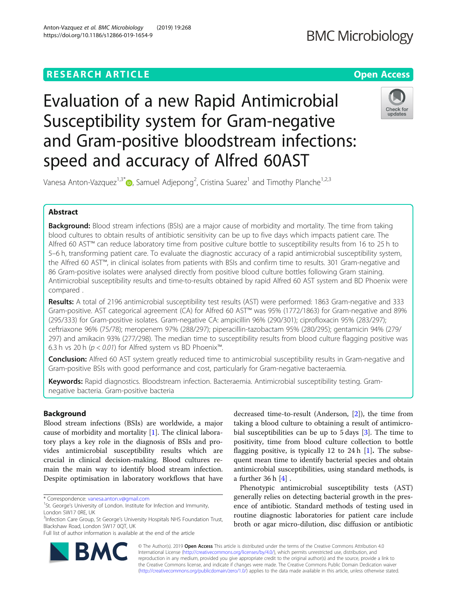# **RESEARCH ARTICLE Example 2014 12:30 The Contract of Contract ACCESS**

# Evaluation of a new Rapid Antimicrobial Susceptibility system for Gram-negative and Gram-positive bloodstream infections: speed and accuracy of Alfred 60AST

Vanesa Anton-Vazquez<sup>1[,](http://orcid.org/0000-0002-4414-3017)3\*</sup> $\bullet$ , Samuel Adjepong<sup>2</sup>, Cristina Suarez<sup>1</sup> and Timothy Planche<sup>1,2,3</sup>

# Abstract

Background: Blood stream infections (BSIs) are a major cause of morbidity and mortality. The time from taking blood cultures to obtain results of antibiotic sensitivity can be up to five days which impacts patient care. The Alfred 60 AST™ can reduce laboratory time from positive culture bottle to susceptibility results from 16 to 25 h to 5–6 h, transforming patient care. To evaluate the diagnostic accuracy of a rapid antimicrobial susceptibility system, the Alfred 60 AST™, in clinical isolates from patients with BSIs and confirm time to results. 301 Gram-negative and 86 Gram-positive isolates were analysed directly from positive blood culture bottles following Gram staining. Antimicrobial susceptibility results and time-to-results obtained by rapid Alfred 60 AST system and BD Phoenix were compared .

Results: A total of 2196 antimicrobial susceptibility test results (AST) were performed: 1863 Gram-negative and 333 Gram-positive. AST categorical agreement (CA) for Alfred 60 AST™ was 95% (1772/1863) for Gram-negative and 89% (295/333) for Gram-positive isolates. Gram-negative CA: ampicillin 96% (290/301); ciprofloxacin 95% (283/297); ceftriaxone 96% (75/78); meropenem 97% (288/297); piperacillin-tazobactam 95% (280/295); gentamicin 94% (279/ 297) and amikacin 93% (277/298). The median time to susceptibility results from blood culture flagging positive was 6.3 h vs 20 h ( $p$  < 0.01) for Alfred system vs BD Phoenix<sup>™</sup>.

Conclusion: Alfred 60 AST system greatly reduced time to antimicrobial susceptibility results in Gram-negative and Gram-positive BSIs with good performance and cost, particularly for Gram-negative bacteraemia.

Keywords: Rapid diagnostics. Bloodstream infection. Bacteraemia. Antimicrobial susceptibility testing. Gramnegative bacteria. Gram-positive bacteria

# Background

Blood stream infections (BSIs) are worldwide, a major cause of morbidity and mortality [\[1](#page-7-0)]. The clinical laboratory plays a key role in the diagnosis of BSIs and provides antimicrobial susceptibility results which are crucial in clinical decision-making. Blood cultures remain the main way to identify blood stream infection. Despite optimisation in laboratory workflows that have

\* Correspondence: [vanesa.anton.v@gmail.com](mailto:vanesa.anton.v@gmail.com) <sup>1</sup>

bial susceptibilities can be up to 5 days [[3](#page-7-0)]. The time to positivity, time from blood culture collection to bottle flagging positive, is typically [1](#page-7-0)2 to 24 h  $[1]$ . The subsequent mean time to identify bacterial species and obtain antimicrobial susceptibilities, using standard methods, is a further 36 h [[4\]](#page-7-0) . Phenotypic antimicrobial susceptibility tests (AST)

decreased time-to-result (Anderson, [[2\]](#page-7-0)), the time from taking a blood culture to obtaining a result of antimicro-

generally relies on detecting bacterial growth in the presence of antibiotic. Standard methods of testing used in routine diagnostic laboratories for patient care include broth or agar micro-dilution, disc diffusion or antibiotic

© The Author(s). 2019 **Open Access** This article is distributed under the terms of the Creative Commons Attribution 4.0 International License [\(http://creativecommons.org/licenses/by/4.0/](http://creativecommons.org/licenses/by/4.0/)), which permits unrestricted use, distribution, and reproduction in any medium, provided you give appropriate credit to the original author(s) and the source, provide a link to the Creative Commons license, and indicate if changes were made. The Creative Commons Public Domain Dedication waiver [\(http://creativecommons.org/publicdomain/zero/1.0/](http://creativecommons.org/publicdomain/zero/1.0/)) applies to the data made available in this article, unless otherwise stated.







<sup>&</sup>lt;sup>1</sup>St. George's University of London. Institute for Infection and Immunity, London SW17 0RE, UK

<sup>&</sup>lt;sup>3</sup>Infection Care Group, St George's University Hospitals NHS Foundation Trust, Blackshaw Road, London SW17 0QT, UK

Full list of author information is available at the end of the article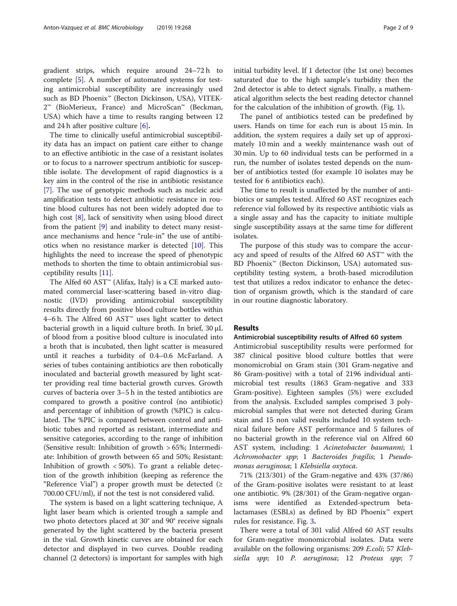gradient strips, which require around 24–72 h to complete [\[5](#page-7-0)]. A number of automated systems for testing antimicrobial susceptibility are increasingly used such as BD Phoenix™ (Becton Dickinson, USA), VITEK-2™ (BioMerieux, France) and MicroScan™ (Beckman, USA) which have a time to results ranging between 12 and 24 h after positive culture  $[6]$  $[6]$ .

The time to clinically useful antimicrobial susceptibility data has an impact on patient care either to change to an effective antibiotic in the case of a resistant isolates or to focus to a narrower spectrum antibiotic for susceptible isolate. The development of rapid diagnostics is a key aim in the control of the rise in antibiotic resistance [[7\]](#page-7-0). The use of genotypic methods such as nucleic acid amplification tests to detect antibiotic resistance in routine blood cultures has not been widely adopted due to high cost [\[8](#page-7-0)], lack of sensitivity when using blood direct from the patient [\[9\]](#page-7-0) and inability to detect many resistance mechanisms and hence "rule-in" the use of antibiotics when no resistance marker is detected [[10\]](#page-7-0). This highlights the need to increase the speed of phenotypic methods to shorten the time to obtain antimicrobial susceptibility results [\[11](#page-7-0)].

The Alfed 60 AST™ (Alifax, Italy) is a CE marked automated commercial laser-scattering based in-vitro diagnostic (IVD) providing antimicrobial susceptibility results directly from positive blood culture bottles within 4–6 h. The Alfred 60 AST™ uses light scatter to detect bacterial growth in a liquid culture broth. In brief, 30 μL of blood from a positive blood culture is inoculated into a broth that is incubated, then light scatter is measured until it reaches a turbidity of 0.4–0.6 McFarland. A series of tubes containing antibiotics are then robotically inoculated and bacterial growth measured by light scatter providing real time bacterial growth curves. Growth curves of bacteria over 3–5 h in the tested antibiotics are compared to growth a positive control (no antibiotic) and percentage of inhibition of growth (%PIC) is calculated. The %PIC is compared between control and antibiotic tubes and reported as resistant, intermediate and sensitive categories, according to the range of inhibition (Sensitive result: Inhibition of growth > 65%; Intermediate: Inhibition of growth between 65 and 50%; Resistant: Inhibition of growth  $\langle 50\% \rangle$ . To grant a reliable detection of the growth inhibition (keeping as reference the "Reference Vial") a proper growth must be detected ( $\geq$ 700.00 CFU/ml), if not the test is not considered valid.

The system is based on a light scattering technique, A light laser beam which is oriented trough a sample and two photo detectors placed at 30° and 90° receive signals generated by the light scattered by the bacteria present in the vial. Growth kinetic curves are obtained for each detector and displayed in two curves. Double reading channel (2 detectors) is important for samples with high initial turbidity level. If 1 detector (the 1st one) becomes saturated due to the high sample's turbidity then the 2nd detector is able to detect signals. Finally, a mathematical algorithm selects the best reading detector channel for the calculation of the inhibition of growth. (Fig. [1](#page-2-0)).

The panel of antibiotics tested can be predefined by users. Hands on time for each run is about 15 min. In addition, the system requires a daily set up of approximately 10 min and a weekly maintenance wash out of 30 min. Up to 60 individual tests can be performed in a run, the number of isolates tested depends on the number of antibiotics tested (for example 10 isolates may be tested for 6 antibiotics each).

The time to result is unaffected by the number of antibiotics or samples tested. Alfred 60 AST recognizes each reference vial followed by its respective antibiotic vials as a single assay and has the capacity to initiate multiple single susceptibility assays at the same time for different isolates.

The purpose of this study was to compare the accuracy and speed of results of the Alfred 60 AST™ with the BD Phoenix<sup>™</sup> (Becton Dickinson, USA) automated susceptibility testing system, a broth-based microdilution test that utilizes a redox indicator to enhance the detection of organism growth, which is the standard of care in our routine diagnostic laboratory.

# **Results**

#### Antimicrobial susceptibility results of Alfred 60 system

Antimicrobial susceptibility results were performed for 387 clinical positive blood culture bottles that were monomicrobial on Gram stain (301 Gram-negative and 86 Gram-positive) with a total of 2196 individual antimicrobial test results (1863 Gram-negative and 333 Gram-positive). Eighteen samples (5%) were excluded from the analysis. Excluded samples comprised 3 polymicrobial samples that were not detected during Gram stain and 15 non valid results included 10 system technical failure before AST performance and 5 failures of no bacterial growth in the reference vial on Alfred 60 AST system, including: 1 Acinetobacter baumanni; 1 Achromobacter spp; 1 Bacteroides fragilis; 1 Pseudomonas aeruginosa; 1 Klebsiella oxytoca.

71% (213/301) of the Gram-negative and 43% (37/86) of the Gram-positive isolates were resistant to at least one antibiotic. 9% (28/301) of the Gram-negative organisms were identified as Extended-spectrum betalactamases (ESBLs) as defined by BD Phoenix™ expert rules for resistance. Fig. [3](#page-6-0).

There were a total of 301 valid Alfred 60 AST results for Gram-negative monomicrobial isolates. Data were available on the following organisms: 209 *E.coli*; 57 Klebsiella spp; 10 P. aeruginosa; 12 Proteus spp; 7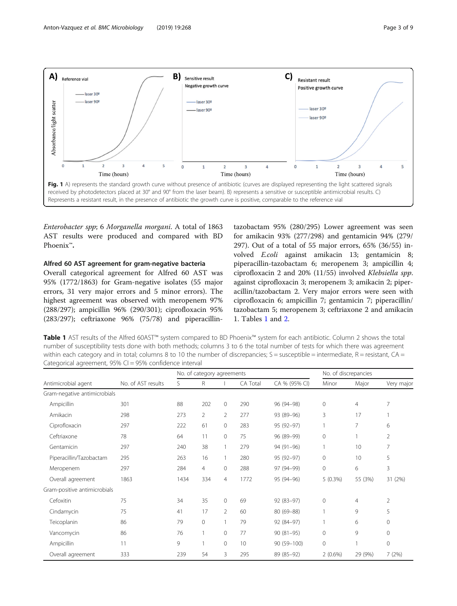<span id="page-2-0"></span>

Enterobacter spp; 6 Morganella morgani. A total of 1863 AST results were produced and compared with BD Phoenix™.

# Alfred 60 AST agreement for gram-negative bacteria

Overall categorical agreement for Alfred 60 AST was 95% (1772/1863) for Gram-negative isolates (55 major errors, 31 very major errors and 5 minor errors). The highest agreement was observed with meropenem 97% (288/297); ampicillin 96% (290/301); ciprofloxacin 95% (283/297); ceftriaxone 96% (75/78) and piperacillintazobactam 95% (280/295) Lower agreement was seen for amikacin 93% (277/298) and gentamicin 94% (279/ 297). Out of a total of 55 major errors, 65% (36/55) involved E.coli against amikacin 13; gentamicin 8; piperacillin-tazobactam 6; meropenem 3; ampicillin 4; ciprofloxacin 2 and 20% (11/55) involved Klebsiella spp. against ciprofloxacin 3; meropenem 3; amikacin 2; piperacillin/tazobactam 2. Very major errors were seen with ciprofloxacin 6; ampicillin 7; gentamicin 7; piperacillin/ tazobactam 5; meropenem 3; ceftriaxone 2 and amikacin 1. Tables 1 and [2](#page-3-0).

Table 1 AST results of the Alfred 60AST™ system compared to BD Phoenix™ system for each antibiotic. Column 2 shows the total number of susceptibility tests done with both methods; columns 3 to 6 the total number of tests for which there was agreement within each category and in total; columns 8 to 10 the number of discrepancies;  $S =$  susceptible = intermediate,  $R =$  resistant,  $CA =$ Categorical agreement, 95% CI = 95% confidence interval

| Antimicrobial agent          | No. of AST results | No. of category agreements |                |         |          | No. of discrepancies |                |                |                |
|------------------------------|--------------------|----------------------------|----------------|---------|----------|----------------------|----------------|----------------|----------------|
|                              |                    | S                          | $\mathsf R$    |         | CA Total | CA % (95% CI)        | Minor          | Major          | Very major     |
| Gram-negative antimicrobials |                    |                            |                |         |          |                      |                |                |                |
| Ampicillin                   | 301                | 88                         | 202            | $\circ$ | 290      | 96 (94-98)           | $\mathbf{0}$   | $\overline{4}$ | 7              |
| Amikacin                     | 298                | 273                        | 2              | 2       | 277      | 93 (89-96)           | 3              | 17             |                |
| Ciprofloxacin                | 297                | 222                        | 61             | $\circ$ | 283      | 95 (92-97)           | $\mathbf{1}$   | 7              | 6              |
| Ceftriaxone                  | 78                 | 64                         | 11             | $\circ$ | 75       | 96 (89-99)           | $\mathbf 0$    |                | $\overline{2}$ |
| Gentamicin                   | 297                | 240                        | 38             |         | 279      | 94 (91-96)           |                | 10             | $\overline{7}$ |
| Piperacillin/Tazobactam      | 295                | 263                        | 16             |         | 280      | 95 (92-97)           | $\overline{0}$ | 10             | 5              |
| Meropenem                    | 297                | 284                        | $\overline{4}$ | $\circ$ | 288      | 97 (94-99)           | $\mathbf{0}$   | 6              | 3              |
| Overall agreement            | 1863               | 1434                       | 334            | 4       | 1772     | 95 (94-96)           | $5(0.3\%)$     | 55 (3%)        | 31 (2%)        |
| Gram-positive antimicrobials |                    |                            |                |         |          |                      |                |                |                |
| Cefoxitin                    | 75                 | 34                         | 35             | $\circ$ | 69       | 92 (83-97)           | $\mathbf 0$    | $\overline{4}$ | $\overline{2}$ |
| Cindamycin                   | 75                 | 41                         | 17             | 2       | 60       | 80 (69-88)           |                | 9              | 5              |
| Teicoplanin                  | 86                 | 79                         | $\mathbf 0$    |         | 79       | 92 (84-97)           |                | 6              | $\mathbf{0}$   |
| Vancomycin                   | 86                 | 76                         |                | $\circ$ | 77       | $90(81-95)$          | $\overline{0}$ | 9              | $\mathbf{0}$   |
| Ampicillin                   | 11                 | 9                          | 1              | $\circ$ | 10       | 90 (59-100)          | $\mathbf{0}$   |                | $\mathbf{0}$   |
| Overall agreement            | 333                | 239                        | 54             | 3       | 295      | 89 (85-92)           | $2(0.6\%)$     | 29 (9%)        | 7(2%)          |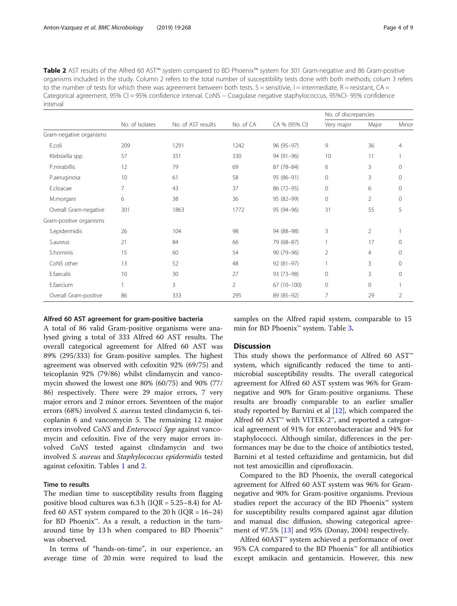<span id="page-3-0"></span>Table 2 AST results of the Alfred 60 AST™ system compared to BD Phoenix™ system for 301 Gram-negative and 86 Gram-positive organisms included in the study. Column 2 refers to the total number of susceptibility tests done with both methods; colum 3 refers to the number of tests for which there was agreement between both tests.  $S =$  sensitivie,  $I =$  intermediate,  $R =$  resistant,  $CA =$ Categorical agreement, 95% CI = 95% confidence interval. CoNS – Coagulase negative staphylococcus, 95%CI- 95% confidence interval

|                         |                 |                    |                |               | No. of discrepancies |                |                |
|-------------------------|-----------------|--------------------|----------------|---------------|----------------------|----------------|----------------|
|                         | No. of Isolates | No. of AST results | No. of CA      | CA % (95% CI) | Very major           | Major          | Minor          |
| Gram-negative organisms |                 |                    |                |               |                      |                |                |
| E.coli                  | 209             | 1291               | 1242           | 96 (95-97)    | 9                    | 36             | $\overline{4}$ |
| Klebsiella spp          | 57              | 351                | 330            | 94 (91-96)    | 10                   | 11             |                |
| P.mirabillis            | 12              | 79                 | 69             | 87 (78-84)    | 6                    | 3              | 0              |
| P.aeruginosa            | 10              | 61                 | 58             | 95 (86-91)    | $\mathbf{0}$         | 3              | 0              |
| E.cloacae               | $\overline{7}$  | 43                 | 37             | 86 (72-95)    | $\mathbf{0}$         | 6              | 0              |
| M.morgani               | 6               | 38                 | 36             | 95 (82-99)    | $\mathbf 0$          | $\overline{2}$ | 0              |
| Overall Gram-negative   | 301             | 1863               | 1772           | 95 (94-96)    | 31                   | 55             | 5              |
| Gram-positive organisms |                 |                    |                |               |                      |                |                |
| S.epidermidis           | 26              | 104                | 98             | 94 (88-98)    | 3                    | $\overline{2}$ |                |
| S.aureus                | 21              | 84                 | 66             | 79 (68-87)    |                      | 17             | 0              |
| S.hominis               | 15              | 60                 | 54             | 90 (79-96)    | $\overline{2}$       | 4              | 0              |
| CoNS other              | 13              | 52                 | 48             | $92(81-97)$   |                      | 3              | 0              |
| E.faecalis              | 10              | 30                 | 27             | 93 (73-98)    | $\mathbf 0$          | 3              | $\Omega$       |
| E.faecium               |                 | 3                  | $\overline{2}$ | $67(10-100)$  | 0                    | $\mathbf{0}$   |                |
| Overall Gram-positive   | 86              | 333                | 295            | 89 (85-92)    | $\overline{7}$       | 29             | 2              |

#### Alfred 60 AST agreement for gram-positive bacteria

A total of 86 valid Gram-positive organisms were analysed giving a total of 333 Alfred 60 AST results. The overall categorical agreement for Alfred 60 AST was 89% (295/333) for Gram-positive samples. The highest agreement was observed with cefoxitin 92% (69/75) and teicoplanin 92% (79/86) whilst clindamycin and vancomycin showed the lowest one 80% (60/75) and 90% (77/ 86) respectively. There were 29 major errors, 7 very major errors and 2 minor errors. Seventeen of the major errors (68%) involved S. aureus tested clindamycin 6, teicoplanin 6 and vancomycin 5. The remaining 12 major errors involved CoNS and Enterococci Spp against vancomycin and cefoxitin. Five of the very major errors involved CoNS tested against clindamycin and two involved S. aureus and Staphylococcus epidermidis tested against cefoxitin. Tables [1](#page-2-0) and 2.

### Time to results

The median time to susceptibility results from flagging positive blood cultures was  $6.3$  h (IQR =  $5.25-8.4$ ) for Alfred 60 AST system compared to the 20 h ( $IQR = 16-24$ ) for BD Phoenix™. As a result, a reduction in the turnaround time by 13 h when compared to BD Phoenix™ was observed.

In terms of "hands-on-time", in our experience, an average time of 20 min were required to load the samples on the Alfred rapid system, comparable to 15 min for BD Phoenix™ system. Table [3](#page-4-0).

# Discussion

This study shows the performance of Alfred 60 AST™ system, which significantly reduced the time to antimicrobial susceptibility results. The overall categorical agreement for Alfred 60 AST system was 96% for Gramnegative and 90% for Gram-positive organisms. These results are broadly comparable to an earlier smaller study reported by Barnini et al [[12](#page-7-0)], which compared the Alfred 60 AST<sup>™</sup> with VITEK-2<sup>™</sup>, and reported a categorical agreement of 91% for enterobacteraciae and 94% for staphylococci. Although similar, differences in the performances may be due to the choice of antibiotics tested, Barnini et al tested ceftazidime and gentamicin, but did not test amoxicillin and ciprofloxacin.

Compared to the BD Phoenix, the overall categorical agreement for Alfred 60 AST system was 96% for Gramnegative and 90% for Gram-positive organisms. Previous studies report the accuracy of the BD Phoenix™ system for susceptibility results compared against agar dilution and manual disc diffusion, showing categorical agreement of 97.5% [[13](#page-7-0)] and 95% (Donay, 2004) respectively.

Alfred 60AST™ system achieved a performance of over 95% CA compared to the BD Phoenix<sup>™</sup> for all antibiotics except amikacin and gentamicin. However, this new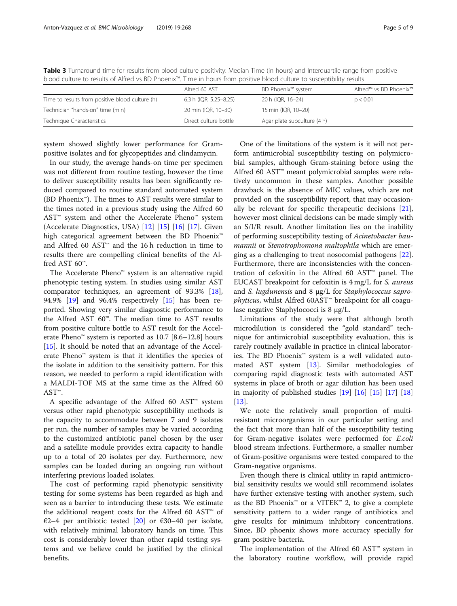<span id="page-4-0"></span>Table 3 Turnaround time for results from blood culture positivity: Median Time (in hours) and Interquartile range from positive blood culture to results of Alfred vs BD Phoenix™. Time in hours from positive blood culture to susceptibility results

|                                                 | Alfred 60 AST          | BD Phoenix™ system          | Alfred™ vs BD Phoenix™ |
|-------------------------------------------------|------------------------|-----------------------------|------------------------|
| Time to results from positive blood culture (h) | 6.3 h (IQR, 5.25-8.25) | 20 h (IQR, 16-24)           | p < 0.01               |
| Technician "hands-on" time (min)                | 20 min (IQR, 10-30)    | 15 min (IQR, 10-20)         |                        |
| Technique Characteristics                       | Direct culture bottle  | Agar plate subculture (4 h) |                        |

system showed slightly lower performance for Grampositive isolates and for glycopeptides and clindamycin.

In our study, the average hands-on time per specimen was not different from routine testing, however the time to deliver susceptibility results has been significantly reduced compared to routine standard automated system (BD Phoenix™). The times to AST results were similar to the times noted in a previous study using the Alfred 60 AST™ system and other the Accelerate Pheno™ system (Accelerate Diagnostics, USA) [\[12](#page-7-0)] [[15\]](#page-8-0) [[16\]](#page-8-0) [[17](#page-8-0)]. Given high categorical agreement between the BD Phoenix™ and Alfred 60 AST™ and the 16 h reduction in time to results there are compelling clinical benefits of the Alfred AST 60™.

The Accelerate Pheno™ system is an alternative rapid phenotypic testing system. In studies using similar AST comparator techniques, an agreement of 93.3% [\[18](#page-8-0)], 94.9% [\[19](#page-8-0)] and 96.4% respectively [\[15](#page-8-0)] has been reported. Showing very similar diagnostic performance to the Alfred AST 60™. The median time to AST results from positive culture bottle to AST result for the Accelerate Pheno™ system is reported as 10.7 [8.6–12.8] hours [[15\]](#page-8-0). It should be noted that an advantage of the Accelerate Pheno™ system is that it identifies the species of the isolate in addition to the sensitivity pattern. For this reason, we needed to perform a rapid identification with a MALDI-TOF MS at the same time as the Alfred 60 AST™.

A specific advantage of the Alfred 60 AST™ system versus other rapid phenotypic susceptibility methods is the capacity to accommodate between 7 and 9 isolates per run, the number of samples may be varied according to the customized antibiotic panel chosen by the user and a satellite module provides extra capacity to handle up to a total of 20 isolates per day. Furthermore, new samples can be loaded during an ongoing run without interfering previous loaded isolates.

The cost of performing rapid phenotypic sensitivity testing for some systems has been regarded as high and seen as a barrier to introducing these tests. We estimate the additional reagent costs for the Alfred 60 AST<sup> $<sub>m</sub>$ </sup> of</sup></sub> €2-4 per antibiotic tested [[20](#page-8-0)] or €30-40 per isolate, with relatively minimal laboratory hands on time. This cost is considerably lower than other rapid testing systems and we believe could be justified by the clinical benefits.

One of the limitations of the system is it will not perform antimicrobial susceptibility testing on polymicrobial samples, although Gram-staining before using the Alfred 60 AST™ meant polymicrobial samples were relatively uncommon in these samples. Another possible drawback is the absence of MIC values, which are not provided on the susceptibility report, that may occasionally be relevant for specific therapeutic decisions [\[21](#page-8-0)], however most clinical decisions can be made simply with an S/I/R result. Another limitation lies on the inability of performing susceptibility testing of Acinetobacter baumannii or Stenotrophomona maltophila which are emerging as a challenging to treat nosocomial pathogens [\[22](#page-8-0)]. Furthermore, there are inconsistencies with the concentration of cefoxitin in the Alfred 60 AST™ panel. The EUCAST breakpoint for cefoxitin is 4 mg/L for S. aureus and S. lugdunensis and 8 μg/L for Staphylococcus sapro $phyticus$ , whilst Alfred 60AST<sup>™</sup> breakpoint for all coagulase negative Staphylococci is 8 μg/L.

Limitations of the study were that although broth microdilution is considered the "gold standard" technique for antimicrobial susceptibility evaluation, this is rarely routinely available in practice in clinical laboratories. The BD Phoenix™ system is a well validated automated AST system [\[13](#page-7-0)]. Similar methodologies of comparing rapid diagnostic tests with automated AST systems in place of broth or agar dilution has been used in majority of published studies [\[19](#page-8-0)] [\[16](#page-8-0)] [\[15](#page-8-0)] [\[17](#page-8-0)] [[18](#page-8-0)] [[13\]](#page-7-0).

We note the relatively small proportion of multiresistant microorganisms in our particular setting and the fact that more than half of the susceptibility testing for Gram-negative isolates were performed for E.coli blood stream infections. Furthermore, a smaller number of Gram-positive organisms were tested compared to the Gram-negative organisms.

Even though there is clinical utility in rapid antimicrobial sensitivity results we would still recommend isolates have further extensive testing with another system, such as the BD Phoenix<sup>™</sup> or a VITEK<sup>™</sup> 2, to give a complete sensitivity pattern to a wider range of antibiotics and give results for minimum inhibitory concentrations. Since, BD phoenix shows more accuracy specially for gram positive bacteria.

The implementation of the Alfred 60 AST™ system in the laboratory routine workflow, will provide rapid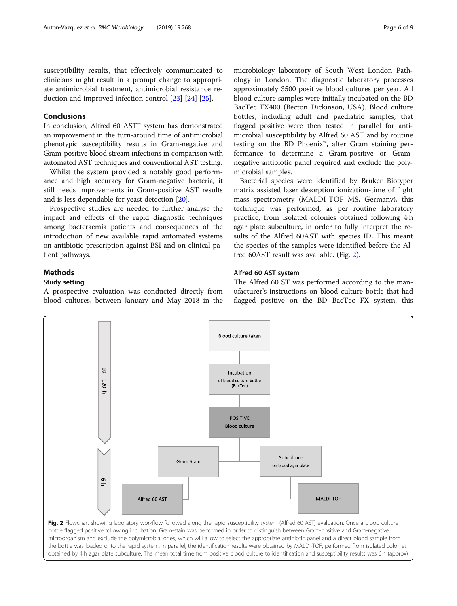susceptibility results, that effectively communicated to clinicians might result in a prompt change to appropriate antimicrobial treatment, antimicrobial resistance reduction and improved infection control [[23\]](#page-8-0) [\[24\]](#page-8-0) [\[25\]](#page-8-0).

## Conclusions

In conclusion, Alfred 60 AST™ system has demonstrated an improvement in the turn-around time of antimicrobial phenotypic susceptibility results in Gram-negative and Gram-positive blood stream infections in comparison with automated AST techniques and conventional AST testing.

Whilst the system provided a notably good performance and high accuracy for Gram-negative bacteria, it still needs improvements in Gram-positive AST results and is less dependable for yeast detection [\[20](#page-8-0)].

Prospective studies are needed to further analyse the impact and effects of the rapid diagnostic techniques among bacteraemia patients and consequences of the introduction of new available rapid automated systems on antibiotic prescription against BSI and on clinical patient pathways.

#### Methods

#### Study setting

A prospective evaluation was conducted directly from blood cultures, between January and May 2018 in the microbiology laboratory of South West London Pathology in London. The diagnostic laboratory processes approximately 3500 positive blood cultures per year. All blood culture samples were initially incubated on the BD BacTec FX400 (Becton Dickinson, USA). Blood culture bottles, including adult and paediatric samples, that flagged positive were then tested in parallel for antimicrobial susceptibility by Alfred 60 AST and by routine testing on the BD Phoenix™, after Gram staining performance to determine a Gram-positive or Gramnegative antibiotic panel required and exclude the polymicrobial samples.

Bacterial species were identified by Bruker Biotyper matrix assisted laser desorption ionization-time of flight mass spectrometry (MALDI-TOF MS, Germany), this technique was performed, as per routine laboratory practice, from isolated colonies obtained following 4 h agar plate subculture, in order to fully interpret the results of the Alfred 60AST with species ID. This meant the species of the samples were identified before the Alfred 60AST result was available. (Fig. 2).

#### Alfred 60 AST system

The Alfred 60 ST was performed according to the manufacturer's instructions on blood culture bottle that had flagged positive on the BD BacTec FX system, this

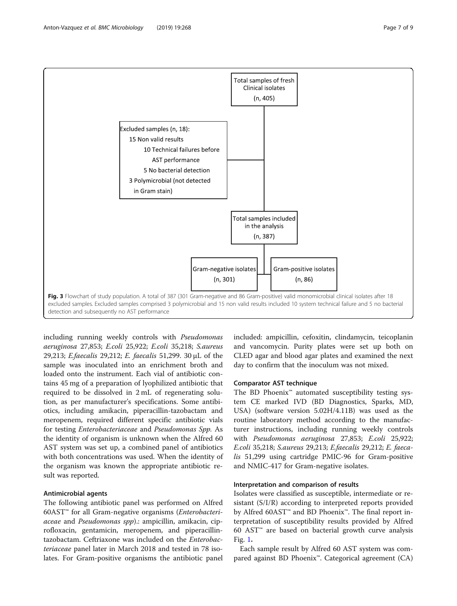<span id="page-6-0"></span>

including running weekly controls with Pseudomonas aeruginosa 27,853; E.coli 25,922; E.coli 35,218; S.aureus 29,213; E.faecalis 29,212; E. faecalis 51,299. 30 μL of the sample was inoculated into an enrichment broth and loaded onto the instrument. Each vial of antibiotic contains 45 mg of a preparation of lyophilized antibiotic that required to be dissolved in 2 mL of regenerating solution, as per manufacturer's specifications. Some antibiotics, including amikacin, piperacillin-tazobactam and meropenem, required different specific antibiotic vials for testing Enterobacteriaceae and Pseudomonas Spp. As the identity of organism is unknown when the Alfred 60 AST system was set up, a combined panel of antibiotics with both concentrations was used. When the identity of the organism was known the appropriate antibiotic result was reported.

#### Antimicrobial agents

The following antibiotic panel was performed on Alfred  $60AST<sup>**</sup>$  for all Gram-negative organisms (*Enterobacteri*aceae and Pseudomonas spp).: ampicillin, amikacin, ciprofloxacin, gentamicin, meropenem, and piperacillintazobactam. Ceftriaxone was included on the Enterobacteriaceae panel later in March 2018 and tested in 78 isolates. For Gram-positive organisms the antibiotic panel included: ampicillin, cefoxitin, clindamycin, teicoplanin and vancomycin. Purity plates were set up both on CLED agar and blood agar plates and examined the next day to confirm that the inoculum was not mixed.

#### Comparator AST technique

The BD Phoenix™ automated susceptibility testing system CE marked IVD (BD Diagnostics, Sparks, MD, USA) (software version 5.02H/4.11B) was used as the routine laboratory method according to the manufacturer instructions, including running weekly controls with Pseudomonas aeruginosa 27,853; E.coli 25,922; E.coli 35,218; S.aureus 29,213; E.faecalis 29,212; E. faecalis 51,299 using cartridge PMIC-96 for Gram-positive and NMIC-417 for Gram-negative isolates.

# Interpretation and comparison of results

Isolates were classified as susceptible, intermediate or resistant (S/I/R) according to interpreted reports provided by Alfred 60AST™ and BD Phoenix™. The final report interpretation of susceptibility results provided by Alfred 60 AST™ are based on bacterial growth curve analysis Fig. [1](#page-2-0).

Each sample result by Alfred 60 AST system was compared against BD Phoenix™. Categorical agreement (CA)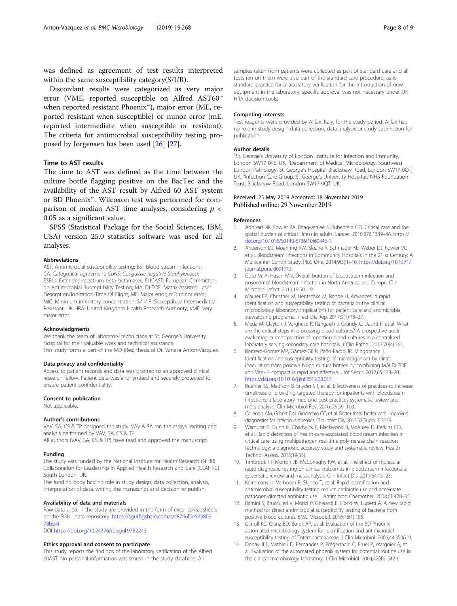<span id="page-7-0"></span>was defined as agreement of test results interpreted within the same susceptibility category(S/I/R).

Discordant results were categorized as very major error (VME, reported susceptible on Alfred AST60™ when reported resistant Phoenix™), major error (ME, reported resistant when susceptible) or minor error (mE, reported intermediate when susceptible or resistant). The criteria for antimicrobial susceptibility testing proposed by Jorgensen has been used [\[26](#page-8-0)] [\[27](#page-8-0)].

#### Time to AST results

The time to AST was defined as the time between the culture bottle flagging positive on the BacTec and the availability of the AST result by Alfred 60 AST system or BD Phoenix™. Wilcoxon test was performed for comparison of median AST time analyses, considering  $p <$ 0.05 as a significant value.

SPSS (Statistical Package for the Social Sciences, IBM, USA) version 25.0 statistics software was used for all analyses.

#### Abbreviations

AST: Antimicrobial susceptibility testing; BSI: Blood stream infections; CA: Categorical agreement; CoNS: Coagulase negative Staphylococci; ESBLs: Extended-spectrum beta-lactamases; EUCAST: European Committee on Antimicrobial Susceptibility Testing; MALDI-TOF: Matrix-Assisted Laser Desorption/Ionization-Time Of Flight; ME: Major error; mE: minor error; MIC: Minimum inhibitory concentration; S/ I/ R: Susceptible/ Intermediate/ Resistant; UK HRA: United Kingdom Health Research Authority; VME: Very major error

#### Acknowledgments

We thank the team of laboratory technicians at St. George's University Hospital for their valuable work and technical assistance. This study forms a part of the MD (Res) thesis of Dr. Vanesa Anton-Vazquez.

#### Data privacy and confidentiality

Access to patient records and data was granted to an approved clinical research fellow. Patient data was anonymised and securely protected to ensure patient confidentiality.

#### Consent to publication

Not applicable.

#### Author's contributions

VAV, SA, CS & TP designed the study. VAV & SA ran the assays. Writing and analysis performed by VAV, SA, CS & TP.

All authors (VAV, SA, CS & TP) have read and approved the manuscript.

#### Funding

The study was funded by the National Institute for Health Research (NIHR) Collaboration for Leadership in Applied Health Research and Care (CLAHRC) South London, UK.

The funding body had no role in study design, data collection, analysis, interpretation of data, writing the manuscript and decision to publish.

#### Availability of data and materials

Raw data used in the study are provided in the form of excel spreadsheets on the SGUL data repository. [https://sgul.figshare.com/s/c8746f6e579802](https://sgul.figshare.com/s/c8746f6e57980278bb4f) [78bb4f](https://sgul.figshare.com/s/c8746f6e57980278bb4f)

DOI <https://doi.org/10.24376/rd.sgul.9782243>

#### Ethics approval and consent to participate

This study reports the findings of the laboratory verification of the Alfred 60AST. No personal information was stored in the study database. All

samples taken from patients were collected as part of standard care and all tests ran on them were also part of the standard care procedure, as is standard practice for a laboratory verification for the introduction of new equipment in the laboratory, specific approval was not necessary under UK HRA decision tools.

#### Competing interests

Test reagents were provided by Alifax, Italy, for the study period. Alifax had no role in study design, data collection, data analysis or study submission for publication.

#### Author details

<sup>1</sup>St. George's University of London. Institute for Infection and Immunity, London SW17 0RE, UK. <sup>2</sup>Department of Medical Microbiology, Southwest London Pathology, St. George's Hospital Blackshaw Road, London SW17 0QT, UK. <sup>3</sup>Infection Care Group, St George's University Hospitals NHS Foundation Trust, Blackshaw Road, London SW17 0QT, UK.

# Received: 25 May 2019 Accepted: 18 November 2019

#### References

- 1. Adhikari NK, Fowler RA, Bhagwanjee S, Rubenfeld GD. Critical care and the global burden of critical illness in adults. Lancet. 2010;376:1339–46. [https://](https://doi.org/10.1016/S0140-6736(10)60446-1) [doi.org/10.1016/S0140-6736\(10\)60446-1](https://doi.org/10.1016/S0140-6736(10)60446-1).
- 2. Anderson DJ, Moehring RW, Sloane R, Schmader KE, Weber DJ, Fowler VG, et al. Bloodstream Infections in Community Hospitals in the 21 st Century: A Multicenter Cohort Study. PloS One. 2014;9(3):1–10. [https://doi.org/10.1371/](https://doi.org/10.1371/journal.pone.0091713) [journal.pone.0091713](https://doi.org/10.1371/journal.pone.0091713).
- 3. Goto M, Al-Hasan MN. Overall burden of bloodstream infection and nosocomial bloodstream infection in North America and Europe. Clin Microbiol Infect. 2013;19:501–9.
- 4. Maurer FP, Christner M, Hentschke M, Rohde H. Advances in rapid identification and susceptibility testing of bacteria in the clinical microbiology laboratory: implications for patient care and antimicrobial stewardship programs. Infect Dis Rep. 2017;9(1):18–27.
- 5. Meda M, Clayton J, Varghese R, Rangaiah J, Grundy C, Dashti F, et al. What are the critical steps in processing blood cultures? A prospective audit evaluating current practice of reporting blood cultures in a centralised laboratory serving secondary care hospitals. J Clin Pathol. 2017;70(4):361.
- Romero-Gómez MP, Gómez-Gil R, Paño-Pardo JR, Mingorance J. Identification and susceptibility testing of microorganism by direct inoculation from positive blood culture bottles by combining MALDI-TOF and Vitek-2 compact is rapid and effective. J Inf Secur. 2012;65:513–20. [https://doi.org/10.1016/j.jinf.2012.08.013.](https://doi.org/10.1016/j.jinf.2012.08.013)
- 7. Buehler SS, Madison B, Snyder SR, et al. Effectiveness of practices to increase timeliness of providing targeted therapy for inpatients with bloodstream infections: a laboratory medicine best practices systematic review and meta-analysis. Clin Microbiol Rev. 2016; 29:59–103.
- 8. Caliendo AM, Gilbert DN, Ginocchio CC, et al. Better tests, better care: improved diagnostics for infectious diseases. Clin Infect Dis. 2013;57(Suppl 3):S139.
- 9. Warhurst G, Dunn G, Chadwick P, Blackwood B, McAuley D, Perkins GD, et al. Rapid detection of health-care-associated bloodstream infection in critical care using multipathogen real-time polymerase chain reaction technology: a diagnostic accuracy study and systematic review. Health Technol Assess. 2015;19(35).
- 10. Timbrook TT, Morton JB, McConeghy KW, et al. The effect of molecular rapid diagnostic testing on clinical outcomes in bloodstream infections: a systematic review and meta-analysis. Clin Infect Dis. 2017;64:15–23.
- 11. Kerremans JJ, Verboom P, Stijnen T, et al. Rapid identification and antimicrobial susceptibility testing reduce antibiotic use and accelerate pathogen-directed antibiotic use. J Antimicrob Chemother. 2008;61:428–35.
- 12. Barnini S, Brucculeri V, Morici P, Ghelardi E, Florio W, Lupetti A. A new rapid method for direct antimicrobial susceptibility testing of bacteria from positive blood cultures. BMC Microbiol. 2016;16(1):185.
- 13. Carroll KC, Glanz BD, Borek AP, et al. Evaluation of the BD Phoenix automated microbiology system for identification and antimicrobial susceptibility testing of Enterobacteriaceae. J Clin Microbiol. 2006;44:3506–9.
- 14. Donay JL1, Mathieu D, Fernandes P, Prégermain C, Bruel P, Wargnier A, et al. Evaluation of the automated phoenix system for potential routine use in the clinical microbiology laboratory. J Clin Microbiol. 2004;42(4):1542-6.